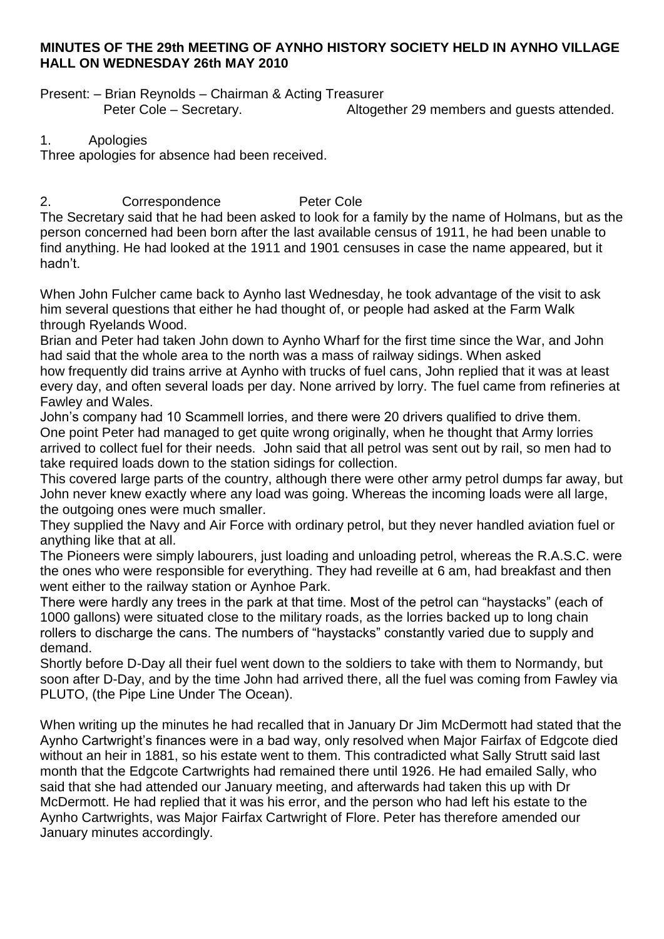## **MINUTES OF THE 29th MEETING OF AYNHO HISTORY SOCIETY HELD IN AYNHO VILLAGE HALL ON WEDNESDAY 26th MAY 2010**

Present: – Brian Reynolds – Chairman & Acting Treasurer Peter Cole – Secretary. The Suite of Altogether 29 members and quests attended.

1. Apologies

Three apologies for absence had been received.

2. Correspondence Peter Cole The Secretary said that he had been asked to look for a family by the name of Holmans, but as the person concerned had been born after the last available census of 1911, he had been unable to find anything. He had looked at the 1911 and 1901 censuses in case the name appeared, but it hadn't.

When John Fulcher came back to Aynho last Wednesday, he took advantage of the visit to ask him several questions that either he had thought of, or people had asked at the Farm Walk through Ryelands Wood.

Brian and Peter had taken John down to Aynho Wharf for the first time since the War, and John had said that the whole area to the north was a mass of railway sidings. When asked how frequently did trains arrive at Aynho with trucks of fuel cans, John replied that it was at least every day, and often several loads per day. None arrived by lorry. The fuel came from refineries at Fawley and Wales.

John's company had 10 Scammell lorries, and there were 20 drivers qualified to drive them. One point Peter had managed to get quite wrong originally, when he thought that Army lorries arrived to collect fuel for their needs. John said that all petrol was sent out by rail, so men had to take required loads down to the station sidings for collection.

This covered large parts of the country, although there were other army petrol dumps far away, but John never knew exactly where any load was going. Whereas the incoming loads were all large, the outgoing ones were much smaller.

They supplied the Navy and Air Force with ordinary petrol, but they never handled aviation fuel or anything like that at all.

The Pioneers were simply labourers, just loading and unloading petrol, whereas the R.A.S.C. were the ones who were responsible for everything. They had reveille at 6 am, had breakfast and then went either to the railway station or Aynhoe Park.

There were hardly any trees in the park at that time. Most of the petrol can "haystacks" (each of 1000 gallons) were situated close to the military roads, as the lorries backed up to long chain rollers to discharge the cans. The numbers of "haystacks" constantly varied due to supply and demand.

Shortly before D-Day all their fuel went down to the soldiers to take with them to Normandy, but soon after D-Day, and by the time John had arrived there, all the fuel was coming from Fawley via PLUTO, (the Pipe Line Under The Ocean).

When writing up the minutes he had recalled that in January Dr Jim McDermott had stated that the Aynho Cartwright's finances were in a bad way, only resolved when Major Fairfax of Edgcote died without an heir in 1881, so his estate went to them. This contradicted what Sally Strutt said last month that the Edgcote Cartwrights had remained there until 1926. He had emailed Sally, who said that she had attended our January meeting, and afterwards had taken this up with Dr McDermott. He had replied that it was his error, and the person who had left his estate to the Aynho Cartwrights, was Major Fairfax Cartwright of Flore. Peter has therefore amended our January minutes accordingly.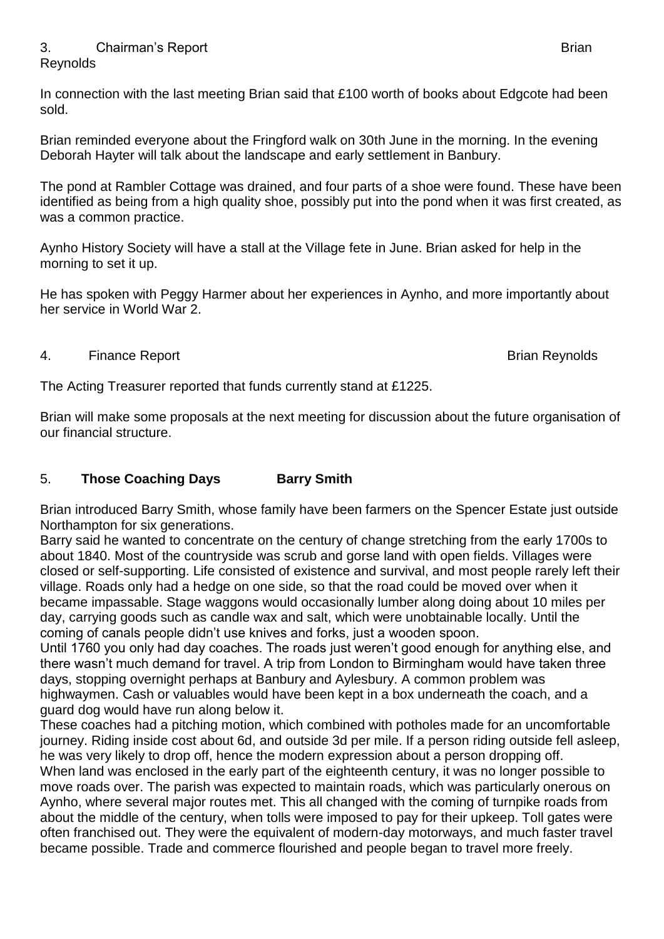### 3. Chairman's Report **Brian** Brian Brian Brian Brian Brian Brian Brian Brian Brian Brian Brian Brian Brian Brian **Reynolds**

In connection with the last meeting Brian said that £100 worth of books about Edgcote had been sold.

Brian reminded everyone about the Fringford walk on 30th June in the morning. In the evening Deborah Hayter will talk about the landscape and early settlement in Banbury.

The pond at Rambler Cottage was drained, and four parts of a shoe were found. These have been identified as being from a high quality shoe, possibly put into the pond when it was first created, as was a common practice.

Aynho History Society will have a stall at the Village fete in June. Brian asked for help in the morning to set it up.

He has spoken with Peggy Harmer about her experiences in Aynho, and more importantly about her service in World War 2.

## 4. Finance Report **Brian Reynolds**

The Acting Treasurer reported that funds currently stand at £1225.

Brian will make some proposals at the next meeting for discussion about the future organisation of our financial structure.

# 5. **Those Coaching Days Barry Smith**

Brian introduced Barry Smith, whose family have been farmers on the Spencer Estate just outside Northampton for six generations.

Barry said he wanted to concentrate on the century of change stretching from the early 1700s to about 1840. Most of the countryside was scrub and gorse land with open fields. Villages were closed or self-supporting. Life consisted of existence and survival, and most people rarely left their village. Roads only had a hedge on one side, so that the road could be moved over when it became impassable. Stage waggons would occasionally lumber along doing about 10 miles per day, carrying goods such as candle wax and salt, which were unobtainable locally. Until the coming of canals people didn't use knives and forks, just a wooden spoon.

Until 1760 you only had day coaches. The roads just weren't good enough for anything else, and there wasn't much demand for travel. A trip from London to Birmingham would have taken three days, stopping overnight perhaps at Banbury and Aylesbury. A common problem was highwaymen. Cash or valuables would have been kept in a box underneath the coach, and a guard dog would have run along below it.

These coaches had a pitching motion, which combined with potholes made for an uncomfortable journey. Riding inside cost about 6d, and outside 3d per mile. If a person riding outside fell asleep, he was very likely to drop off, hence the modern expression about a person dropping off. When land was enclosed in the early part of the eighteenth century, it was no longer possible to move roads over. The parish was expected to maintain roads, which was particularly onerous on Aynho, where several major routes met. This all changed with the coming of turnpike roads from about the middle of the century, when tolls were imposed to pay for their upkeep. Toll gates were often franchised out. They were the equivalent of modern-day motorways, and much faster travel became possible. Trade and commerce flourished and people began to travel more freely.